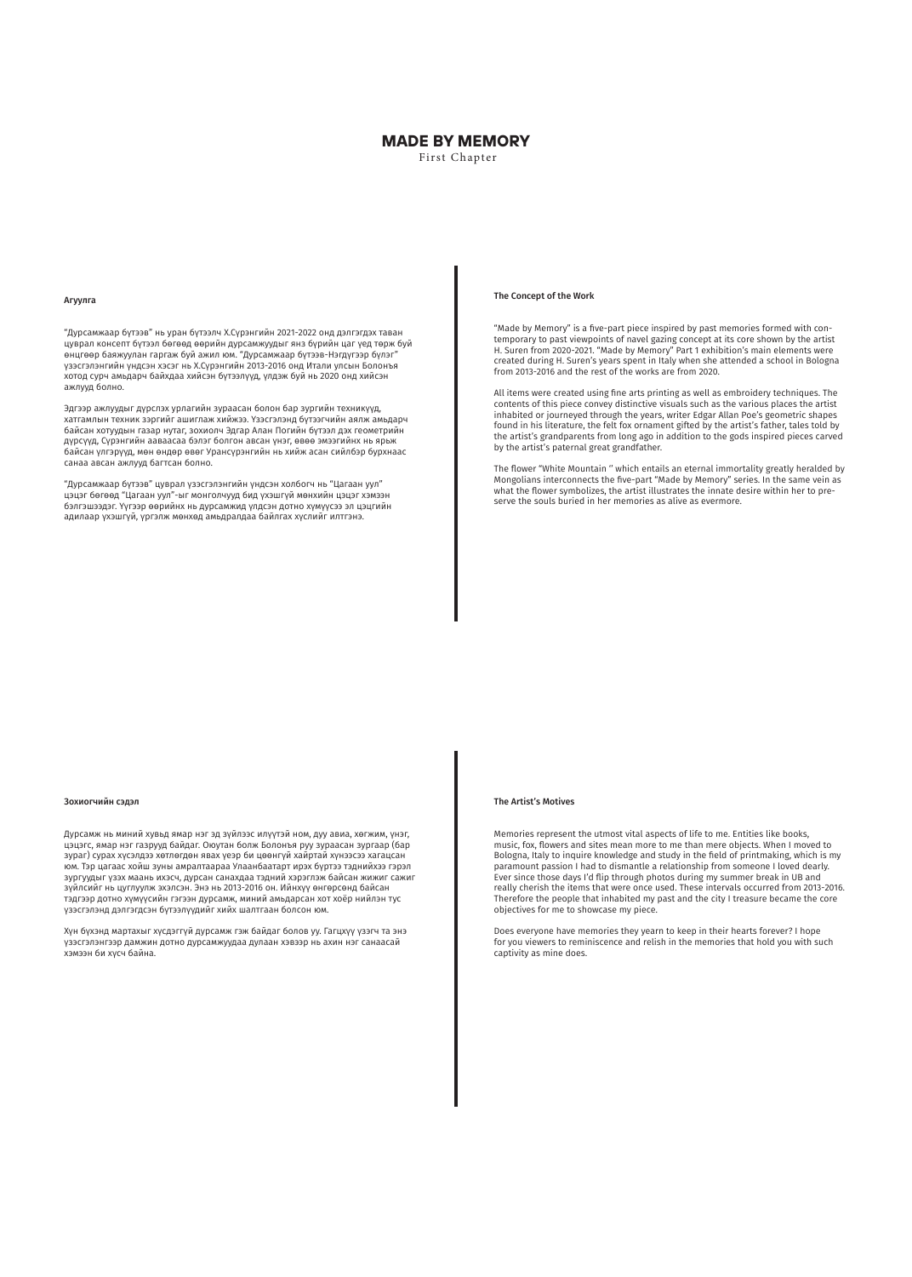# **MADE BY MEMORY** First Chapter

### Агуулга

"Дурсамжаар бүтээв" нь уран бүтээлч Х.Сүрэнгийн 2021-2022 онд дэлгэгдэх таван цуврал консепт бүтээл бөгөөд өөрийн дурсамжуудыг янз бүрийн цаг үед төрж буй өнцгөөр баяжуулан гаргаж буй ажил юм. "Дурсамжаар бүтээв-Нэгдүгээр бүлэг" үзэсгэлэнгийн үндсэн хэсэг нь Х.Сүрэнгийн 2013-2016 онд Итали улсын Болонъя хотод сурч амьдарч байхдаа хийсэн бүтээлүүд, үлдэж буй нь 2020 онд хийсэн ажлууд болно.

Эдгээр ажлуудыг дүрслэх урлагийн зураасан болон бар зургийн техникүүд, хатгамлын техник зэргийг ашиглаж хийжээ. Үзэсгэлэнд бүтээгчийн аялж амьдарч байсан хотуудын газар нутаг, зохиолч Эдгар Алан Погийн бүтээл дэх геометрийн дүрсүүд, Сүрэнгийн ааваасаа бэлэг болгон авсан үнэг, өвөө эмээгийнх нь ярьж байсан үлгэрүүд, мөн өндөр өвөг Урансүрэнгийн нь хийж асан сийлбэр бурхнаас санаа авсан ажлууд багтсан болно.

"Дурсамжаар бүтээв" цуврал үзэсгэлэнгийн үндсэн холбогч нь "Цагаан уул" цэцэг бөгөөд "Цагаан уул"-ыг монголчууд бид үхэшгүй мөнхийн цэцэг хэмээн бэлгэшээдэг. Үүгээр өөрийнх нь дурсамжид үлдсэн дотно хүмүүсээ эл цэцгийн адилаар үхэшгүй, үргэлж мөнхөд амьдралдаа байлгах хүслийг илтгэнэ.

### Зохиогчийн сэдэл

Дурсамж нь миний хувьд ямар нэг эд зүйлээс илүүтэй ном, дуу авиа, хөгжим, үнэг, цэцэгс, ямар нэг газрууд байдаг. Оюутан болж Болонъя руу зураасан зургаар (бар зураг) сурах хүсэлдээ хөтлөгдөн явах үеэр би цөөнгүй хайртай хүнээсээ хагацсан юм. Тэр цагаас хойш зуны амралтаараа Улаанбаатарт ирэх бүртээ тэднийхээ гэрэл зургуудыг үзэх маань ихэсч, дурсан санахдаа тэдний хэрэглэж байсан жижиг сажиг зүйлсийг нь цуглуулж эхэлсэн. Энэ нь 2013-2016 он. Ийнхүү өнгөрсөнд байсан тэдгээр дотно хүмүүсийн гэгээн дурсамж, миний амьдарсан хот хоёр нийлэн тус үзэсгэлэнд дэлгэгдсэн бүтээлүүдийг хийх шалтгаан болсон юм.

Хүн бүхэнд мартахыг хүсдэггүй дурсамж гэж байдаг болов уу. Гагцхүү үзэгч та энэ үзэсгэлэнгээр дамжин дотно дурсамжуудаа дулаан хэвээр нь ахин нэг санаасай хэмээн би хүсч байна.

# The Concept of the Work

"Made by Memory" is a five-part piece inspired by past memories formed with contemporary to past viewpoints of navel gazing concept at its core shown by the artist H. Suren from 2020-2021. "Made by Memory" Part 1 exhibition's main elements were created during H. Suren's years spent in Italy when she attended a school in Bologna from 2013-2016 and the rest of the works are from 2020.

All items were created using fine arts printing as well as embroidery techniques. The contents of this piece convey distinctive visuals such as the various places the artist inhabited or journeyed through the years, writer Edgar Allan Poe's geometric shapes found in his literature, the felt fox ornament gifted by the artist's father, tales told by the artist's grandparents from long ago in addition to the gods inspired pieces carved by the artist's paternal great grandfather.

The flower "White Mountain '' which entails an eternal immortality greatly heralded by Mongolians interconnects the five-part "Made by Memory" series. In the same vein as what the flower symbolizes, the artist illustrates the innate desire within her to preserve the souls buried in her memories as alive as evermore.

## The Artist's Motives

Memories represent the utmost vital aspects of life to me. Entities like books, music, fox, flowers and sites mean more to me than mere objects. When I moved to Bologna, Italy to inquire knowledge and study in the field of printmaking, which is my paramount passion I had to dismantle a relationship from someone I loved dearly. Ever since those days I'd flip through photos during my summer break in UB and really cherish the items that were once used. These intervals occurred from 2013-2016. Therefore the people that inhabited my past and the city I treasure became the core objectives for me to showcase my piece.

Does everyone have memories they yearn to keep in their hearts forever? I hope for you viewers to reminiscence and relish in the memories that hold you with such captivity as mine does.